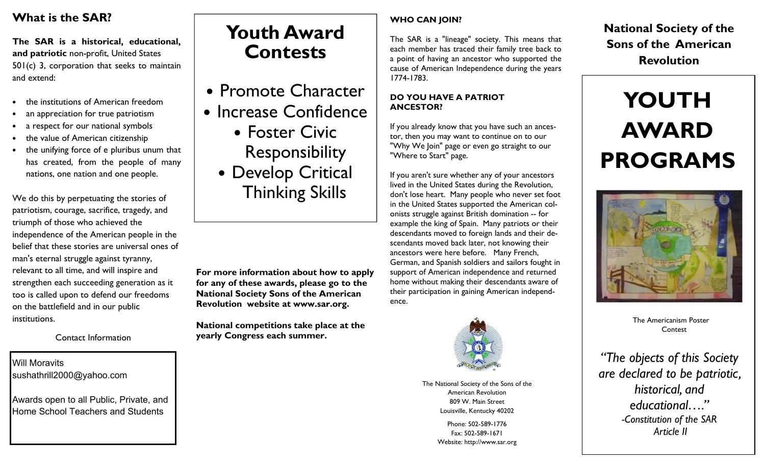# **What is the SAR?**

**The SAR is a historical, educational, and patriotic** non-profit, United States 501(c) 3, corporation that seeks to maintain and extend:

- •the institutions of American freedom
- •an appreciation for true patriotism
- a respect for our national symbols•
- •the value of American citizenshi p
- the unifying force of e pluribus unum that •has created, from the people of manynations, one nation and one people.

We do this by perpetuating the stories of patriotism, courage, sacrifice, tragedy, and triumph of those who achieved the independence of the American people in the belief that these stories are universal ones of man's eternal struggle against tyranny, relevant to all time, and will inspire and strengthen each succeeding generation as it too is called upon to defend our freedoms on the battlefield and in our public institutions.

Contact Information

## Will Moravits sushathrill2000@yahoo.com

Awards open to all Public, Private, and Home School Teachers and Students

# **Youth Award Contests**

- Promote Character
- Increase Confidence
	- Foster Civic Responsibility • Develop Critical Thinking Skills

**For more information about how to apply for any of these awards, please go to the National Society Sons of the American Revolution website at www.sar.org.** 

**National competitions take place at the yearly Congress each summer.** 

### **WHO CAN JOIN?**

The SAR is a "lineage" society. This means that each member has traced their family tree back to a point of having an ancestor who supported the cause of American Independence during the years 1774-1783.

#### **DO YOU HAVE A PATRIOT ANCESTOR?**

If you already know that you have such an ancestor, then you may want to continue on to our "Why We Join" page or even go straight to our "Where to Start" page.

If you aren't sure whether any of your ancestors lived in the United States during the Revolution, don't lose heart. Many people who never set foot in the United States supported the American colonists struggle against British domination -- for example the king of Spain. Many patriots or their descendants moved to foreign lands and their descendants moved back later, not knowing their ancestors were here before. Many French, German, and Spanish soldiers and sailors fought in support of American independence and returned home without making their descendants aware of their participation in gaining American independence.



The National Society of the Sons of the American Revolution 809 W. Main Street Louisville, Kentucky 40202

> Phone: 502-589-1776 Fax: 502-589-1671 Website: http://www.sar.org

**National Society of the Sons of the American Revolution** 

# **YOUTH AWARD PROGRAMS**



The Americanism Poster **Contest** 

*"The objects of this Society are declared to be patriotic, historical, and educational…." -Constitution of the SAR Article II*